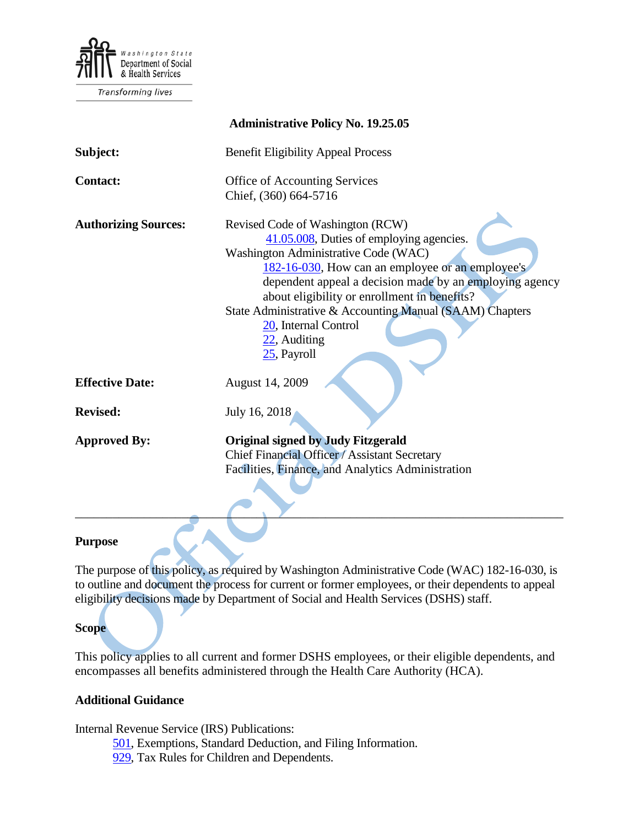

Transforming lives

| <b>Administrative Policy No. 19.25.05</b> |                                                                                                                                                                                                                                                                                                                                                                                                           |
|-------------------------------------------|-----------------------------------------------------------------------------------------------------------------------------------------------------------------------------------------------------------------------------------------------------------------------------------------------------------------------------------------------------------------------------------------------------------|
| Subject:                                  | <b>Benefit Eligibility Appeal Process</b>                                                                                                                                                                                                                                                                                                                                                                 |
| <b>Contact:</b>                           | Office of Accounting Services<br>Chief, (360) 664-5716                                                                                                                                                                                                                                                                                                                                                    |
| <b>Authorizing Sources:</b>               | Revised Code of Washington (RCW)<br>41.05.008, Duties of employing agencies.<br>Washington Administrative Code (WAC)<br>182-16-030, How can an employee or an employee's<br>dependent appeal a decision made by an employing agency<br>about eligibility or enrollment in benefits?<br>State Administrative & Accounting Manual (SAAM) Chapters<br>20, Internal Control<br>22, Auditing<br>$25$ , Payroll |
| <b>Effective Date:</b>                    | August 14, 2009                                                                                                                                                                                                                                                                                                                                                                                           |
| <b>Revised:</b>                           | July 16, 2018                                                                                                                                                                                                                                                                                                                                                                                             |
| <b>Approved By:</b>                       | Original signed by Judy Fitzgerald<br>Chief Financial Officer / Assistant Secretary<br>Facilities, Finance, and Analytics Administration                                                                                                                                                                                                                                                                  |
| Purnose                                   |                                                                                                                                                                                                                                                                                                                                                                                                           |

### **Purpose**

The purpose of this policy, as required by Washington Administrative Code (WAC) 182-16-030, is to outline and document the process for current or former employees, or their dependents to appeal eligibility decisions made by Department of Social and Health Services (DSHS) staff.

#### **Scope**

This policy applies to all current and former DSHS employees, or their eligible dependents, and encompasses all benefits administered through the Health Care Authority (HCA).

#### **Additional Guidance**

Internal Revenue Service (IRS) Publications:

- [501,](http://www.irs.gov/pub/irs-pdf/p501.pdf) Exemptions, Standard Deduction, and Filing Information.
- [929,](http://www.irs.gov/publications/p929/index.html) Tax Rules for Children and Dependents.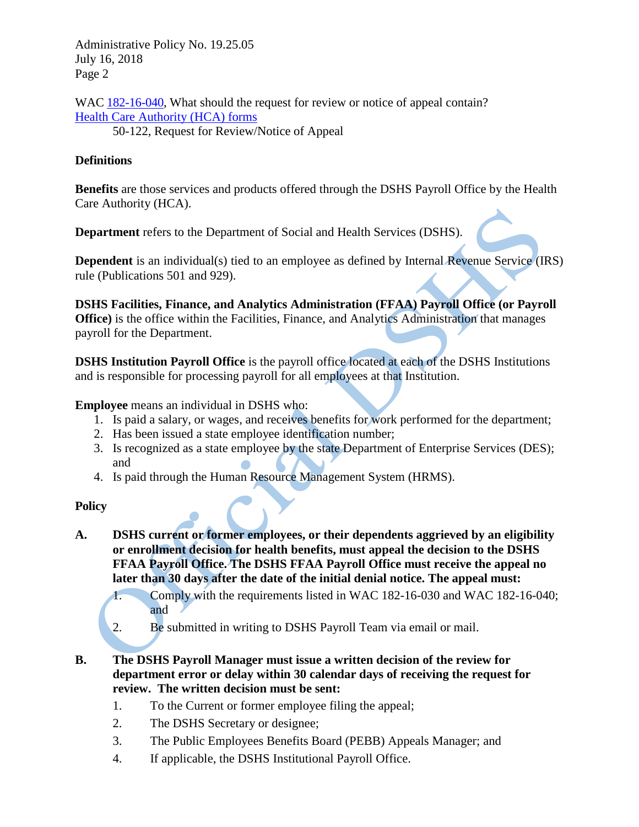Administrative Policy No. 19.25.05 July 16, 2018 Page 2

WAC [182-16-040,](http://apps.leg.wa.gov/WAC/default.aspx?cite=182-16-040) What should the request for review or notice of appeal contain? [Health Care Authority \(HCA\) forms](http://www.hca.wa.gov/pebb/Pages/forms.aspx)

50-122, Request for Review/Notice of Appeal

## **Definitions**

**Benefits** are those services and products offered through the DSHS Payroll Office by the Health Care Authority (HCA).

**Department** refers to the Department of Social and Health Services (DSHS).

**Dependent** is an individual(s) tied to an employee as defined by Internal Revenue Service (IRS) rule (Publications 501 and 929).

**DSHS Facilities, Finance, and Analytics Administration (FFAA) Payroll Office (or Payroll Office**) is the office within the Facilities, Finance, and Analytics Administration that manages payroll for the Department.

**DSHS Institution Payroll Office** is the payroll office located at each of the DSHS Institutions and is responsible for processing payroll for all employees at that Institution.

**Employee** means an individual in DSHS who:

- 1. Is paid a salary, or wages, and receives benefits for work performed for the department;
- 2. Has been issued a state employee identification number;
- 3. Is recognized as a state employee by the state Department of Enterprise Services (DES); and
- 4. Is paid through the Human Resource Management System (HRMS).

# **Policy**

- **A. DSHS current or former employees, or their dependents aggrieved by an eligibility or enrollment decision for health benefits, must appeal the decision to the DSHS FFAA Payroll Office. The DSHS FFAA Payroll Office must receive the appeal no later than 30 days after the date of the initial denial notice. The appeal must:**
	- 1. Comply with the requirements listed in WAC 182-16-030 and WAC 182-16-040; and
	- 2. Be submitted in writing to DSHS Payroll Team via email or mail.
- **B. The DSHS Payroll Manager must issue a written decision of the review for department error or delay within 30 calendar days of receiving the request for review. The written decision must be sent:**
	- 1. To the Current or former employee filing the appeal;
	- 2. The DSHS Secretary or designee;
	- 3. The Public Employees Benefits Board (PEBB) Appeals Manager; and
	- 4. If applicable, the DSHS Institutional Payroll Office.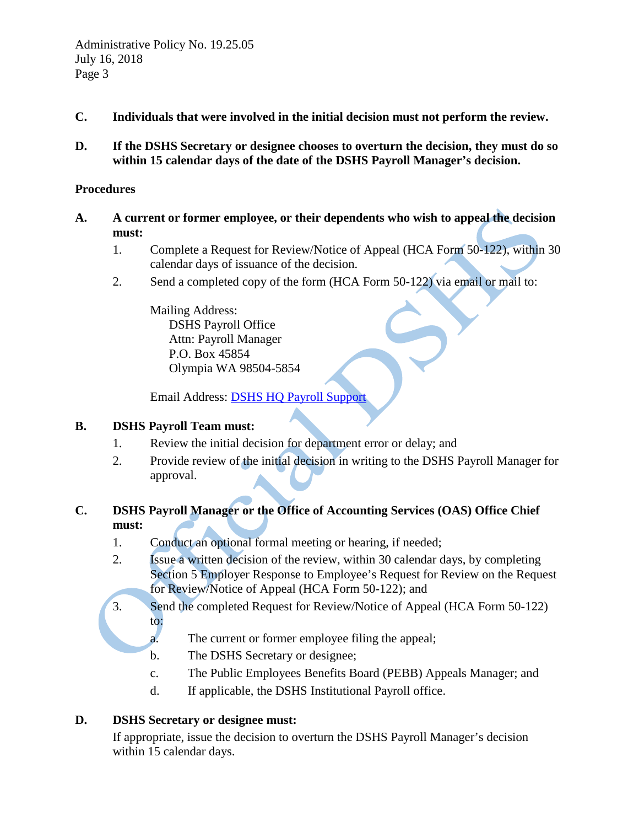- **C. Individuals that were involved in the initial decision must not perform the review.**
- **D. If the DSHS Secretary or designee chooses to overturn the decision, they must do so within 15 calendar days of the date of the DSHS Payroll Manager's decision.**

### **Procedures**

- **A. A current or former employee, or their dependents who wish to appeal the decision must:**
	- 1. Complete a Request for Review/Notice of Appeal (HCA Form 50-122), within 30 calendar days of issuance of the decision.
	- 2. Send a completed copy of the form (HCA Form 50-122) via email or mail to:

Mailing Address: DSHS Payroll Office Attn: Payroll Manager P.O. Box 45854 Olympia WA 98504-5854

Email Address: [DSHS HQ Payroll Support](mailto:payrollsupportteam@dshs.wa.gov)

#### **B. DSHS Payroll Team must:**

- 1. Review the initial decision for department error or delay; and
- 2. Provide review of the initial decision in writing to the DSHS Payroll Manager for approval.

# **C. DSHS Payroll Manager or the Office of Accounting Services (OAS) Office Chief must:**

- 1. Conduct an optional formal meeting or hearing, if needed;
- 2. Issue a written decision of the review, within 30 calendar days, by completing Section 5 Employer Response to Employee's Request for Review on the Request for Review/Notice of Appeal (HCA Form 50-122); and
- 3. Send the completed Request for Review/Notice of Appeal (HCA Form 50-122) to:
	- a. The current or former employee filing the appeal;
	- b. The DSHS Secretary or designee;
	- c. The Public Employees Benefits Board (PEBB) Appeals Manager; and
	- d. If applicable, the DSHS Institutional Payroll office.

# **D. DSHS Secretary or designee must:**

If appropriate, issue the decision to overturn the DSHS Payroll Manager's decision within 15 calendar days.